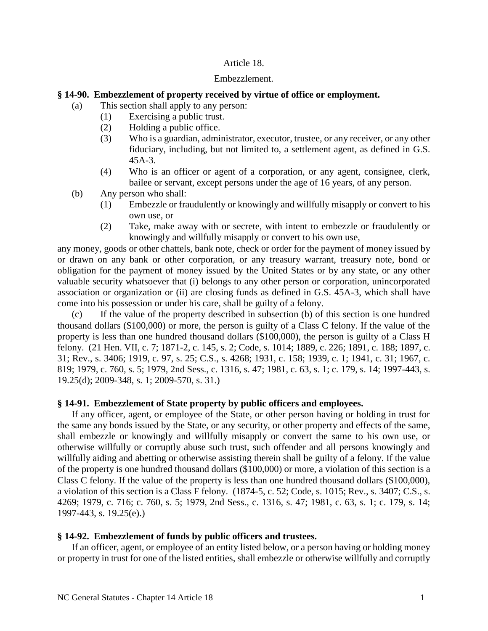## Article 18.

#### Embezzlement.

## **§ 14-90. Embezzlement of property received by virtue of office or employment.**

- (a) This section shall apply to any person:
	- (1) Exercising a public trust.
	- (2) Holding a public office.
	- (3) Who is a guardian, administrator, executor, trustee, or any receiver, or any other fiduciary, including, but not limited to, a settlement agent, as defined in G.S. 45A-3.
	- (4) Who is an officer or agent of a corporation, or any agent, consignee, clerk, bailee or servant, except persons under the age of 16 years, of any person.
- (b) Any person who shall:
	- (1) Embezzle or fraudulently or knowingly and willfully misapply or convert to his own use, or
	- (2) Take, make away with or secrete, with intent to embezzle or fraudulently or knowingly and willfully misapply or convert to his own use,

any money, goods or other chattels, bank note, check or order for the payment of money issued by or drawn on any bank or other corporation, or any treasury warrant, treasury note, bond or obligation for the payment of money issued by the United States or by any state, or any other valuable security whatsoever that (i) belongs to any other person or corporation, unincorporated association or organization or (ii) are closing funds as defined in G.S. 45A-3, which shall have come into his possession or under his care, shall be guilty of a felony.

(c) If the value of the property described in subsection (b) of this section is one hundred thousand dollars (\$100,000) or more, the person is guilty of a Class C felony. If the value of the property is less than one hundred thousand dollars (\$100,000), the person is guilty of a Class H felony. (21 Hen. VII, c. 7; 1871-2, c. 145, s. 2; Code, s. 1014; 1889, c. 226; 1891, c. 188; 1897, c. 31; Rev., s. 3406; 1919, c. 97, s. 25; C.S., s. 4268; 1931, c. 158; 1939, c. 1; 1941, c. 31; 1967, c. 819; 1979, c. 760, s. 5; 1979, 2nd Sess., c. 1316, s. 47; 1981, c. 63, s. 1; c. 179, s. 14; 1997-443, s. 19.25(d); 2009-348, s. 1; 2009-570, s. 31.)

#### **§ 14-91. Embezzlement of State property by public officers and employees.**

If any officer, agent, or employee of the State, or other person having or holding in trust for the same any bonds issued by the State, or any security, or other property and effects of the same, shall embezzle or knowingly and willfully misapply or convert the same to his own use, or otherwise willfully or corruptly abuse such trust, such offender and all persons knowingly and willfully aiding and abetting or otherwise assisting therein shall be guilty of a felony. If the value of the property is one hundred thousand dollars (\$100,000) or more, a violation of this section is a Class C felony. If the value of the property is less than one hundred thousand dollars (\$100,000), a violation of this section is a Class F felony. (1874-5, c. 52; Code, s. 1015; Rev., s. 3407; C.S., s. 4269; 1979, c. 716; c. 760, s. 5; 1979, 2nd Sess., c. 1316, s. 47; 1981, c. 63, s. 1; c. 179, s. 14; 1997-443, s. 19.25(e).)

#### **§ 14-92. Embezzlement of funds by public officers and trustees.**

If an officer, agent, or employee of an entity listed below, or a person having or holding money or property in trust for one of the listed entities, shall embezzle or otherwise willfully and corruptly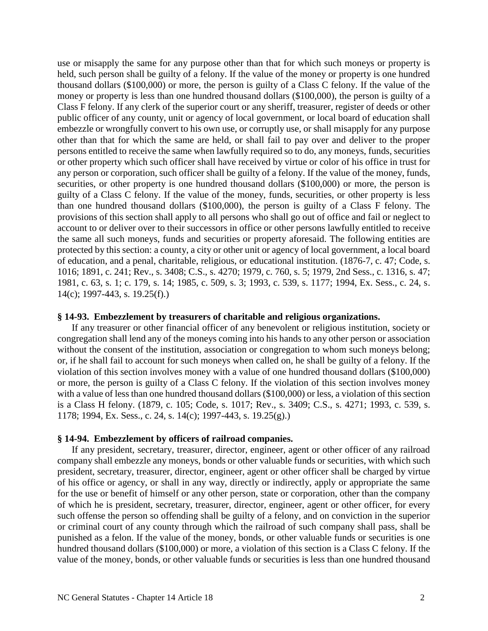use or misapply the same for any purpose other than that for which such moneys or property is held, such person shall be guilty of a felony. If the value of the money or property is one hundred thousand dollars (\$100,000) or more, the person is guilty of a Class C felony. If the value of the money or property is less than one hundred thousand dollars (\$100,000), the person is guilty of a Class F felony. If any clerk of the superior court or any sheriff, treasurer, register of deeds or other public officer of any county, unit or agency of local government, or local board of education shall embezzle or wrongfully convert to his own use, or corruptly use, or shall misapply for any purpose other than that for which the same are held, or shall fail to pay over and deliver to the proper persons entitled to receive the same when lawfully required so to do, any moneys, funds, securities or other property which such officer shall have received by virtue or color of his office in trust for any person or corporation, such officer shall be guilty of a felony. If the value of the money, funds, securities, or other property is one hundred thousand dollars (\$100,000) or more, the person is guilty of a Class C felony. If the value of the money, funds, securities, or other property is less than one hundred thousand dollars (\$100,000), the person is guilty of a Class F felony. The provisions of this section shall apply to all persons who shall go out of office and fail or neglect to account to or deliver over to their successors in office or other persons lawfully entitled to receive the same all such moneys, funds and securities or property aforesaid. The following entities are protected by this section: a county, a city or other unit or agency of local government, a local board of education, and a penal, charitable, religious, or educational institution. (1876-7, c. 47; Code, s. 1016; 1891, c. 241; Rev., s. 3408; C.S., s. 4270; 1979, c. 760, s. 5; 1979, 2nd Sess., c. 1316, s. 47; 1981, c. 63, s. 1; c. 179, s. 14; 1985, c. 509, s. 3; 1993, c. 539, s. 1177; 1994, Ex. Sess., c. 24, s. 14(c); 1997-443, s. 19.25(f).)

#### **§ 14-93. Embezzlement by treasurers of charitable and religious organizations.**

If any treasurer or other financial officer of any benevolent or religious institution, society or congregation shall lend any of the moneys coming into his hands to any other person or association without the consent of the institution, association or congregation to whom such moneys belong; or, if he shall fail to account for such moneys when called on, he shall be guilty of a felony. If the violation of this section involves money with a value of one hundred thousand dollars (\$100,000) or more, the person is guilty of a Class C felony. If the violation of this section involves money with a value of less than one hundred thousand dollars (\$100,000) or less, a violation of this section is a Class H felony. (1879, c. 105; Code, s. 1017; Rev., s. 3409; C.S., s. 4271; 1993, c. 539, s. 1178; 1994, Ex. Sess., c. 24, s. 14(c); 1997-443, s. 19.25(g).)

### **§ 14-94. Embezzlement by officers of railroad companies.**

If any president, secretary, treasurer, director, engineer, agent or other officer of any railroad company shall embezzle any moneys, bonds or other valuable funds or securities, with which such president, secretary, treasurer, director, engineer, agent or other officer shall be charged by virtue of his office or agency, or shall in any way, directly or indirectly, apply or appropriate the same for the use or benefit of himself or any other person, state or corporation, other than the company of which he is president, secretary, treasurer, director, engineer, agent or other officer, for every such offense the person so offending shall be guilty of a felony, and on conviction in the superior or criminal court of any county through which the railroad of such company shall pass, shall be punished as a felon. If the value of the money, bonds, or other valuable funds or securities is one hundred thousand dollars (\$100,000) or more, a violation of this section is a Class C felony. If the value of the money, bonds, or other valuable funds or securities is less than one hundred thousand